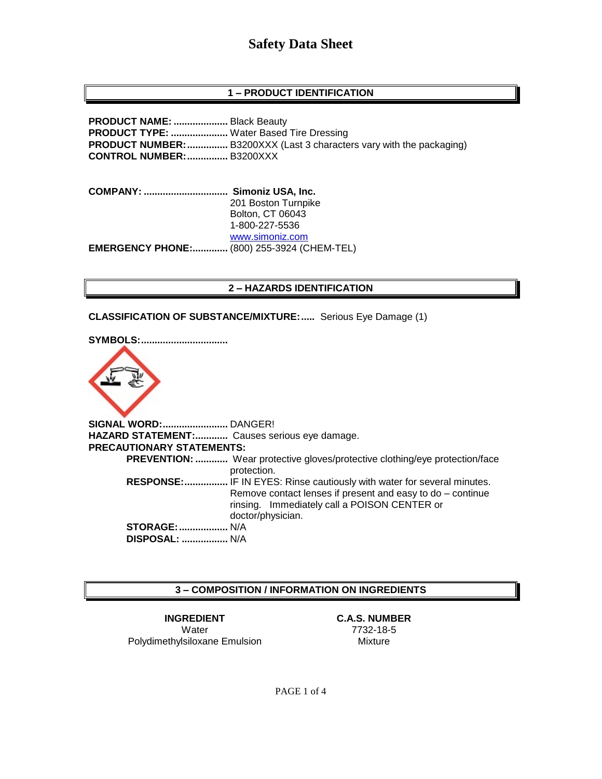### **1 – PRODUCT IDENTIFICATION**

**PRODUCT NAME: ....................** Black Beauty **PRODUCT TYPE: .....................** Water Based Tire Dressing **PRODUCT NUMBER:...............** B3200XXX (Last 3 characters vary with the packaging) **CONTROL NUMBER:...............** B3200XXX

**COMPANY: ............................... Simoniz USA, Inc.** 201 Boston Turnpike Bolton, CT 06043 1-800-227-5536 [www.simoniz.com](http://www.simoniz.com/) **EMERGENCY PHONE:.............** (800) 255-3924 (CHEM-TEL)

#### **2 – HAZARDS IDENTIFICATION**

**CLASSIFICATION OF SUBSTANCE/MIXTURE:.....** Serious Eye Damage (1)





**SIGNAL WORD:........................** DANGER! **HAZARD STATEMENT:............** Causes serious eye damage. **PRECAUTIONARY STATEMENTS: PREVENTION: ............** Wear protective gloves/protective clothing/eye protection/face protection.  **RESPONSE:................** IF IN EYES: Rinse cautiously with water for several minutes. Remove contact lenses if present and easy to do – continue rinsing. Immediately call a POISON CENTER or doctor/physician. **STORAGE:..................** N/A  **DISPOSAL: .................** N/A

#### **3 – COMPOSITION / INFORMATION ON INGREDIENTS**

**INGREDIENT C.A.S. NUMBER** Water 7732-18-5 Polydimethylsiloxane Emulsion Mixture

PAGE 1 of 4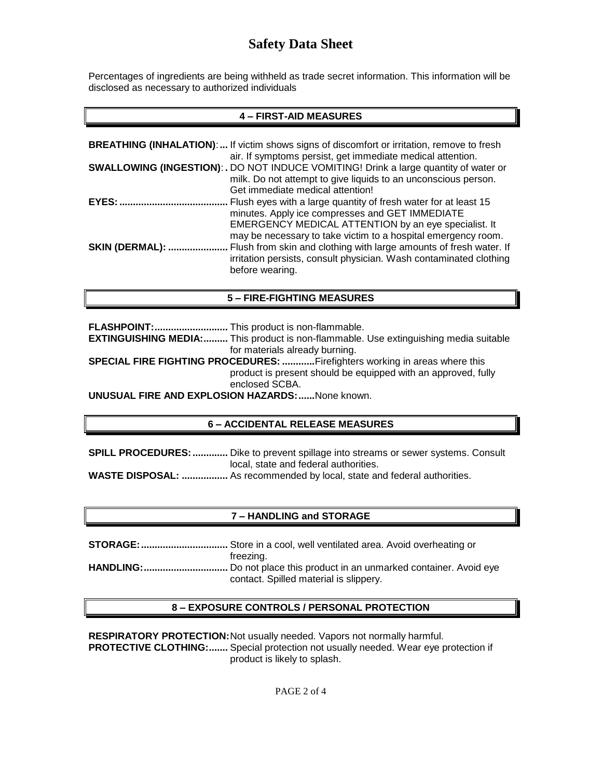Percentages of ingredients are being withheld as trade secret information. This information will be disclosed as necessary to authorized individuals

## **4 – FIRST-AID MEASURES**

|                        | <b>BREATHING (INHALATION):</b> If victim shows signs of discomfort or irritation, remove to fresh<br>air. If symptoms persist, get immediate medical attention.                                                                             |
|------------------------|---------------------------------------------------------------------------------------------------------------------------------------------------------------------------------------------------------------------------------------------|
|                        | <b>SWALLOWING (INGESTION): .</b> DO NOT INDUCE VOMITING! Drink a large quantity of water or<br>milk. Do not attempt to give liquids to an unconscious person.<br>Get immediate medical attention!                                           |
| EYES:                  | Flush eyes with a large quantity of fresh water for at least 15<br>minutes. Apply ice compresses and GET IMMEDIATE<br>EMERGENCY MEDICAL ATTENTION by an eye specialist. It<br>may be necessary to take victim to a hospital emergency room. |
| <b>SKIN (DERMAL): </b> | Flush from skin and clothing with large amounts of fresh water. If<br>irritation persists, consult physician. Wash contaminated clothing<br>before wearing.                                                                                 |

#### **5 – FIRE-FIGHTING MEASURES**

**FLASHPOINT:...........................** This product is non-flammable.

**EXTINGUISHING MEDIA:.........** This product is non-flammable. Use extinguishing media suitable for materials already burning.

**SPECIAL FIRE FIGHTING PROCEDURES: ............**Firefighters working in areas where this product is present should be equipped with an approved, fully enclosed SCBA.

**UNUSUAL FIRE AND EXPLOSION HAZARDS:......**None known.

#### **6 – ACCIDENTAL RELEASE MEASURES**

**SPILL PROCEDURES:.............** Dike to prevent spillage into streams or sewer systems. Consult local, state and federal authorities.

**WASTE DISPOSAL: .................** As recommended by local, state and federal authorities.

## **7 – HANDLING and STORAGE**

**STORAGE:................................** Store in a cool, well ventilated area. Avoid overheating or freezing. **HANDLING:...............................** Do not place this product in an unmarked container. Avoid eye contact. Spilled material is slippery.

#### **8 – EXPOSURE CONTROLS / PERSONAL PROTECTION**

**RESPIRATORY PROTECTION:**Not usually needed. Vapors not normally harmful. **PROTECTIVE CLOTHING:.......** Special protection not usually needed. Wear eye protection if product is likely to splash.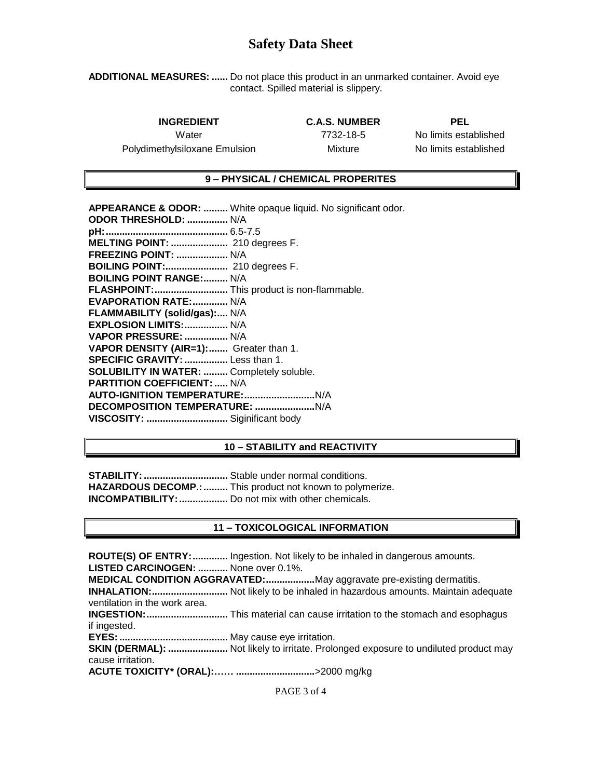**ADDITIONAL MEASURES: ......** Do not place this product in an unmarked container. Avoid eye contact. Spilled material is slippery.

**INGREDIENT C.A.S. NUMBER PEL**

Polydimethylsiloxane Emulsion Mixture No limits established

Water 7732-18-5 No limits established

### **9 – PHYSICAL / CHEMICAL PROPERITES**

| <b>APPEARANCE &amp; ODOR: </b> White opaque liquid. No significant odor. |
|--------------------------------------------------------------------------|
| ODOR THRESHOLD:  N/A                                                     |
|                                                                          |
| MELTING POINT:  210 degrees F.                                           |
| <b>FREEZING POINT:  N/A</b>                                              |
| <b>BOILING POINT:</b> 210 degrees F.                                     |
| <b>BOILING POINT RANGE: N/A</b>                                          |
| FLASHPOINT: This product is non-flammable.                               |
| EVAPORATION RATE: N/A                                                    |
| FLAMMABILITY (solid/gas): N/A                                            |
| EXPLOSION LIMITS:  N/A                                                   |
| VAPOR PRESSURE:  N/A                                                     |
| VAPOR DENSITY (AIR=1): Greater than 1.                                   |
| SPECIFIC GRAVITY:  Less than 1.                                          |
| <b>SOLUBILITY IN WATER:  Completely soluble.</b>                         |
| <b>PARTITION COEFFICIENT:  N/A</b>                                       |
|                                                                          |
|                                                                          |
| VISCOSITY:  Siginificant body                                            |
|                                                                          |

### **10 – STABILITY and REACTIVITY**

**STABILITY:...............................** Stable under normal conditions. HAZARDOUS DECOMP.: .......... This product not known to polymerize. **INCOMPATIBILITY: ..................** Do not mix with other chemicals.

#### **11 – TOXICOLOGICAL INFORMATION**

**ROUTE(S) OF ENTRY:.............** Ingestion. Not likely to be inhaled in dangerous amounts. **LISTED CARCINOGEN: ...........** None over 0.1%. **MEDICAL CONDITION AGGRAVATED:..................**May aggravate pre-existing dermatitis. **INHALATION:............................** Not likely to be inhaled in hazardous amounts. Maintain adequate ventilation in the work area. **INGESTION:..............................** This material can cause irritation to the stomach and esophagus if ingested. **EYES:........................................** May cause eye irritation. **SKIN (DERMAL): ......................** Not likely to irritate. Prolonged exposure to undiluted product may cause irritation. **ACUTE TOXICITY\* (ORAL):…… .............................**>2000 mg/kg

PAGE 3 of 4